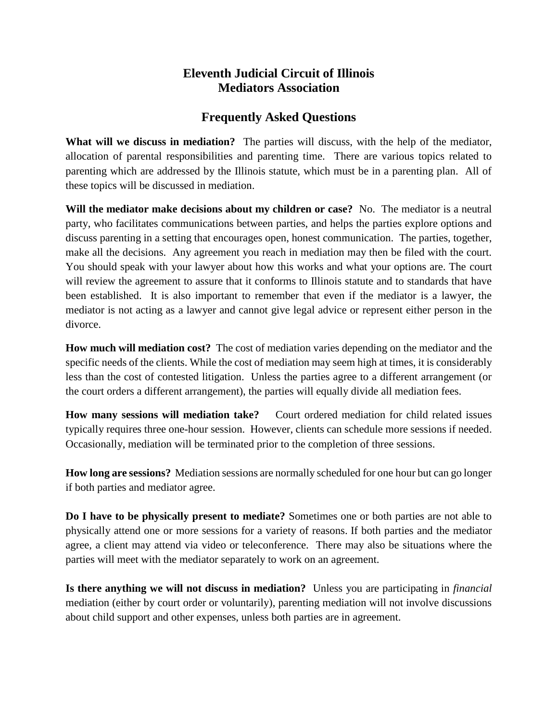## **Eleventh Judicial Circuit of Illinois Mediators Association**

## **Frequently Asked Questions**

**What will we discuss in mediation?** The parties will discuss, with the help of the mediator, allocation of parental responsibilities and parenting time. There are various topics related to parenting which are addressed by the Illinois statute, which must be in a parenting plan. All of these topics will be discussed in mediation.

**Will the mediator make decisions about my children or case?** No. The mediator is a neutral party, who facilitates communications between parties, and helps the parties explore options and discuss parenting in a setting that encourages open, honest communication. The parties, together, make all the decisions. Any agreement you reach in mediation may then be filed with the court. You should speak with your lawyer about how this works and what your options are. The court will review the agreement to assure that it conforms to Illinois statute and to standards that have been established. It is also important to remember that even if the mediator is a lawyer, the mediator is not acting as a lawyer and cannot give legal advice or represent either person in the divorce.

**How much will mediation cost?** The cost of mediation varies depending on the mediator and the specific needs of the clients. While the cost of mediation may seem high at times, it is considerably less than the cost of contested litigation. Unless the parties agree to a different arrangement (or the court orders a different arrangement), the parties will equally divide all mediation fees.

**How many sessions will mediation take?** Court ordered mediation for child related issues typically requires three one-hour session. However, clients can schedule more sessions if needed. Occasionally, mediation will be terminated prior to the completion of three sessions.

**How long are sessions?** Mediation sessions are normally scheduled for one hour but can go longer if both parties and mediator agree.

**Do I have to be physically present to mediate?** Sometimes one or both parties are not able to physically attend one or more sessions for a variety of reasons. If both parties and the mediator agree, a client may attend via video or teleconference. There may also be situations where the parties will meet with the mediator separately to work on an agreement.

**Is there anything we will not discuss in mediation?** Unless you are participating in *financial*  mediation (either by court order or voluntarily), parenting mediation will not involve discussions about child support and other expenses, unless both parties are in agreement.